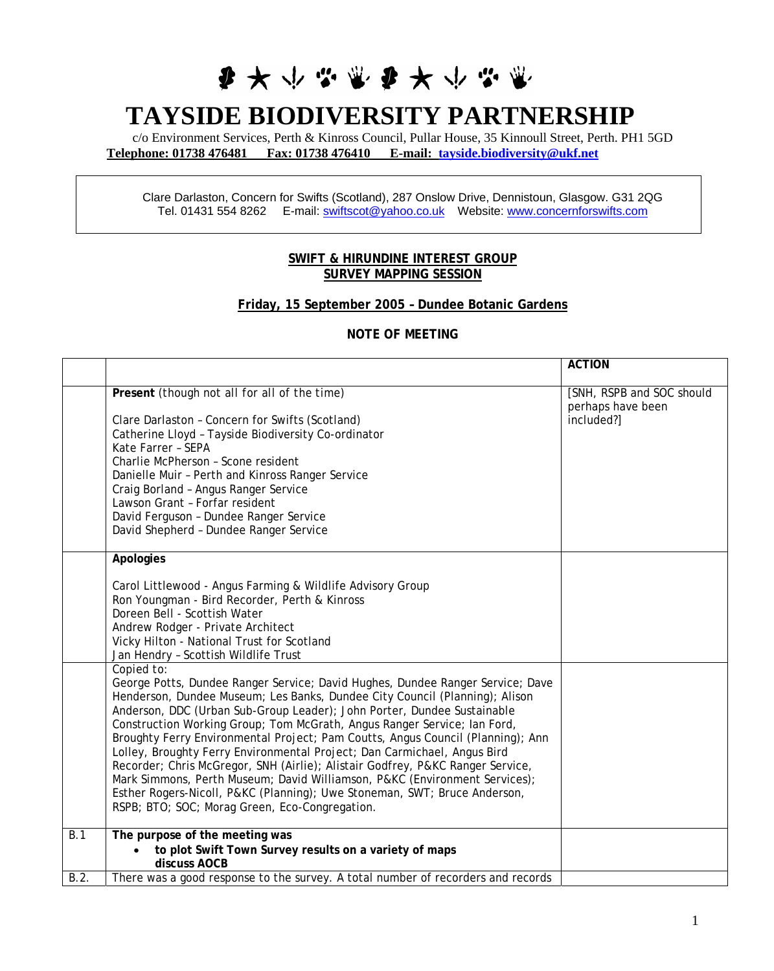# 3 \* \* \* \* \* \* \* \* \*

## **TAYSIDE BIODIVERSITY PARTNERSHIP**

c/o Environment Services, Perth & Kinross Council, Pullar House, 35 Kinnoull Street, Perth. PH1 5GD **Telephone: 01738 476481 Fax: 01738 476410 E-mail: [tayside.biodiversity@ukf.net](mailto:tayside.biodiversity@ukf.net)** 

Clare Darlaston, Concern for Swifts (Scotland), 287 Onslow Drive, Dennistoun, Glasgow. G31 2QG Tel. 01431 554 8262 E-mail: [swiftscot@yahoo.co.uk](mailto:swiftscot@yahoo.co.uk)  Website: www.concernforswifts.com

#### **SWIFT & HIRUNDINE INTEREST GROUP SURVEY MAPPING SESSION**

#### **Friday, 15 September 2005 – Dundee Botanic Gardens**

#### **NOTE OF MEETING**

|      |                                                                                                                                                                                                                                                                                                                                                                                                                                                                                                                                                                                                                                                                                                                                                                                                  | <b>ACTION</b>                                                |
|------|--------------------------------------------------------------------------------------------------------------------------------------------------------------------------------------------------------------------------------------------------------------------------------------------------------------------------------------------------------------------------------------------------------------------------------------------------------------------------------------------------------------------------------------------------------------------------------------------------------------------------------------------------------------------------------------------------------------------------------------------------------------------------------------------------|--------------------------------------------------------------|
|      | Present (though not all for all of the time)<br>Clare Darlaston - Concern for Swifts (Scotland)<br>Catherine Lloyd - Tayside Biodiversity Co-ordinator<br>Kate Farrer - SEPA<br>Charlie McPherson - Scone resident<br>Danielle Muir - Perth and Kinross Ranger Service<br>Craig Borland - Angus Ranger Service<br>Lawson Grant - Forfar resident<br>David Ferguson - Dundee Ranger Service<br>David Shepherd - Dundee Ranger Service                                                                                                                                                                                                                                                                                                                                                             | [SNH, RSPB and SOC should<br>perhaps have been<br>included?] |
|      | Apologies<br>Carol Littlewood - Angus Farming & Wildlife Advisory Group<br>Ron Youngman - Bird Recorder, Perth & Kinross<br>Doreen Bell - Scottish Water<br>Andrew Rodger - Private Architect<br>Vicky Hilton - National Trust for Scotland<br>Jan Hendry - Scottish Wildlife Trust                                                                                                                                                                                                                                                                                                                                                                                                                                                                                                              |                                                              |
|      | Copied to:<br>George Potts, Dundee Ranger Service; David Hughes, Dundee Ranger Service; Dave<br>Henderson, Dundee Museum; Les Banks, Dundee City Council (Planning); Alison<br>Anderson, DDC (Urban Sub-Group Leader); John Porter, Dundee Sustainable<br>Construction Working Group; Tom McGrath, Angus Ranger Service; lan Ford,<br>Broughty Ferry Environmental Project; Pam Coutts, Angus Council (Planning); Ann<br>Lolley, Broughty Ferry Environmental Project; Dan Carmichael, Angus Bird<br>Recorder; Chris McGregor, SNH (Airlie); Alistair Godfrey, P&KC Ranger Service,<br>Mark Simmons, Perth Museum; David Williamson, P&KC (Environment Services);<br>Esther Rogers-Nicoll, P&KC (Planning); Uwe Stoneman, SWT; Bruce Anderson,<br>RSPB; BTO; SOC; Morag Green, Eco-Congregation. |                                                              |
| B.1  | The purpose of the meeting was<br>to plot Swift Town Survey results on a variety of maps<br>discuss AOCB                                                                                                                                                                                                                                                                                                                                                                                                                                                                                                                                                                                                                                                                                         |                                                              |
| B.2. | There was a good response to the survey. A total number of recorders and records                                                                                                                                                                                                                                                                                                                                                                                                                                                                                                                                                                                                                                                                                                                 |                                                              |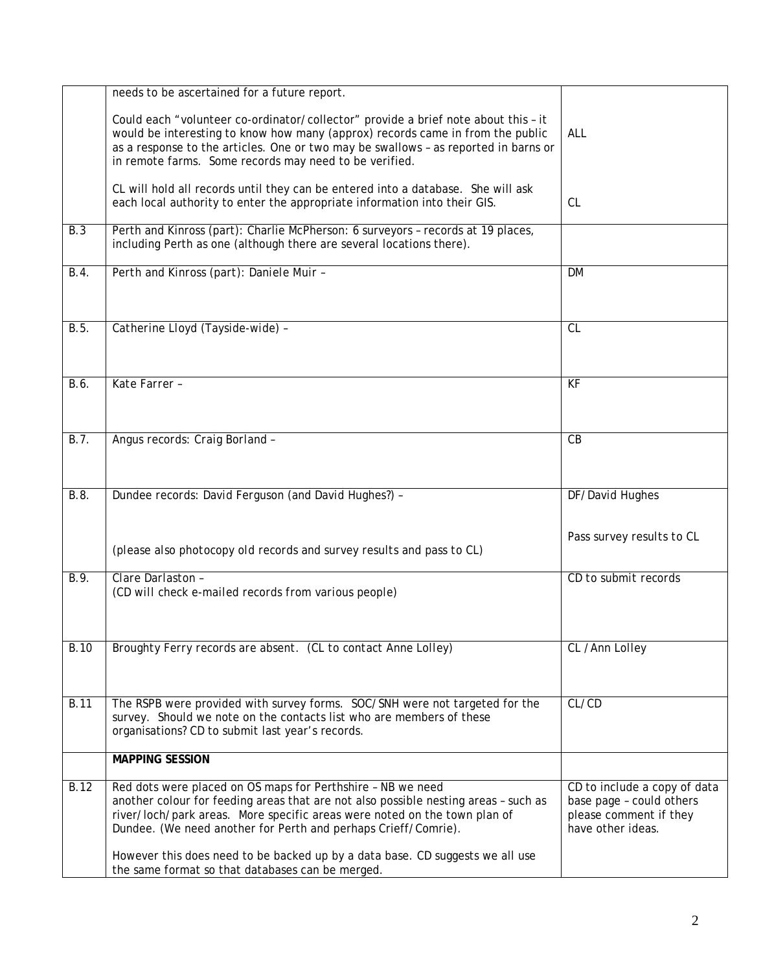|                    | needs to be ascertained for a future report.<br>Could each "volunteer co-ordinator/collector" provide a brief note about this - it<br>would be interesting to know how many (approx) records came in from the public<br>as a response to the articles. One or two may be swallows - as reported in barns or | ALL                                                                                                     |
|--------------------|-------------------------------------------------------------------------------------------------------------------------------------------------------------------------------------------------------------------------------------------------------------------------------------------------------------|---------------------------------------------------------------------------------------------------------|
|                    | in remote farms. Some records may need to be verified.<br>CL will hold all records until they can be entered into a database. She will ask<br>each local authority to enter the appropriate information into their GIS.                                                                                     | <b>CL</b>                                                                                               |
| <b>B.3</b>         | Perth and Kinross (part): Charlie McPherson: 6 surveyors - records at 19 places,<br>including Perth as one (although there are several locations there).                                                                                                                                                    |                                                                                                         |
| B.4.               | Perth and Kinross (part): Daniele Muir -                                                                                                                                                                                                                                                                    | <b>DM</b>                                                                                               |
| B.5.               | Catherine Lloyd (Tayside-wide) -                                                                                                                                                                                                                                                                            | CL                                                                                                      |
| B.6.               | Kate Farrer -                                                                                                                                                                                                                                                                                               | KF                                                                                                      |
| B.7.               | Angus records: Craig Borland -                                                                                                                                                                                                                                                                              | CB                                                                                                      |
| $\overline{B.8}$ . | Dundee records: David Ferguson (and David Hughes?) -                                                                                                                                                                                                                                                        | DF/David Hughes                                                                                         |
|                    | (please also photocopy old records and survey results and pass to CL)                                                                                                                                                                                                                                       | Pass survey results to CL                                                                               |
| B.9.               | Clare Darlaston -<br>(CD will check e-mailed records from various people)                                                                                                                                                                                                                                   | CD to submit records                                                                                    |
| <b>B.10</b>        | Broughty Ferry records are absent. (CL to contact Anne Lolley)                                                                                                                                                                                                                                              | CL /Ann Lolley                                                                                          |
| <b>B.11</b>        | The RSPB were provided with survey forms. SOC/SNH were not targeted for the<br>survey. Should we note on the contacts list who are members of these<br>organisations? CD to submit last year's records.                                                                                                     | CL/CD                                                                                                   |
|                    | <b>MAPPING SESSION</b>                                                                                                                                                                                                                                                                                      |                                                                                                         |
| $\overline{B}$ .12 | Red dots were placed on OS maps for Perthshire - NB we need<br>another colour for feeding areas that are not also possible nesting areas - such as<br>river/loch/park areas. More specific areas were noted on the town plan of<br>Dundee. (We need another for Perth and perhaps Crieff/Comrie).           | CD to include a copy of data<br>base page - could others<br>please comment if they<br>have other ideas. |
|                    | However this does need to be backed up by a data base. CD suggests we all use<br>the same format so that databases can be merged.                                                                                                                                                                           |                                                                                                         |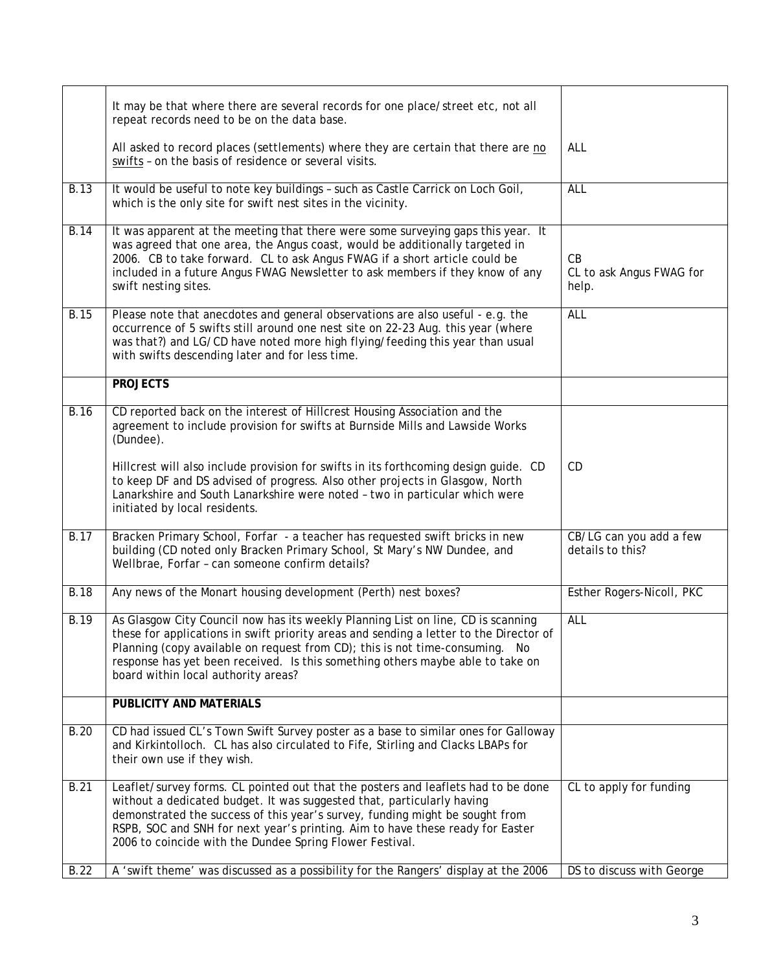|             | It may be that where there are several records for one place/street etc, not all<br>repeat records need to be on the data base.                                                                                                                                                                                                                                                           |                                             |
|-------------|-------------------------------------------------------------------------------------------------------------------------------------------------------------------------------------------------------------------------------------------------------------------------------------------------------------------------------------------------------------------------------------------|---------------------------------------------|
|             | All asked to record places (settlements) where they are certain that there are no<br>swifts - on the basis of residence or several visits.                                                                                                                                                                                                                                                | ALL                                         |
| <b>B.13</b> | It would be useful to note key buildings - such as Castle Carrick on Loch Goil,<br>which is the only site for swift nest sites in the vicinity.                                                                                                                                                                                                                                           | <b>ALL</b>                                  |
| B.14        | It was apparent at the meeting that there were some surveying gaps this year. It<br>was agreed that one area, the Angus coast, would be additionally targeted in<br>2006. CB to take forward. CL to ask Angus FWAG if a short article could be<br>included in a future Angus FWAG Newsletter to ask members if they know of any<br>swift nesting sites.                                   | CB<br>CL to ask Angus FWAG for<br>help.     |
| <b>B.15</b> | Please note that anecdotes and general observations are also useful - e.g. the<br>occurrence of 5 swifts still around one nest site on 22-23 Aug. this year (where<br>was that?) and LG/CD have noted more high flying/feeding this year than usual<br>with swifts descending later and for less time.                                                                                    | <b>ALL</b>                                  |
|             | <b>PROJECTS</b>                                                                                                                                                                                                                                                                                                                                                                           |                                             |
| <b>B.16</b> | CD reported back on the interest of Hillcrest Housing Association and the<br>agreement to include provision for swifts at Burnside Mills and Lawside Works<br>(Dundee).                                                                                                                                                                                                                   |                                             |
|             | Hillcrest will also include provision for swifts in its forthcoming design guide. CD<br>to keep DF and DS advised of progress. Also other projects in Glasgow, North<br>Lanarkshire and South Lanarkshire were noted - two in particular which were<br>initiated by local residents.                                                                                                      | CD                                          |
| B.17        | Bracken Primary School, Forfar - a teacher has requested swift bricks in new<br>building (CD noted only Bracken Primary School, St Mary's NW Dundee, and<br>Wellbrae, Forfar - can someone confirm details?                                                                                                                                                                               | CB/LG can you add a few<br>details to this? |
| <b>B.18</b> | Any news of the Monart housing development (Perth) nest boxes?                                                                                                                                                                                                                                                                                                                            | Esther Rogers-Nicoll, PKC                   |
| B.19        | As Glasgow City Council now has its weekly Planning List on line, CD is scanning<br>these for applications in swift priority areas and sending a letter to the Director of<br>Planning (copy available on request from CD); this is not time-consuming. No<br>response has yet been received. Is this something others maybe able to take on<br>board within local authority areas?       | <b>ALL</b>                                  |
|             | PUBLICITY AND MATERIALS                                                                                                                                                                                                                                                                                                                                                                   |                                             |
| <b>B.20</b> | CD had issued CL's Town Swift Survey poster as a base to similar ones for Galloway<br>and Kirkintolloch. CL has also circulated to Fife, Stirling and Clacks LBAPs for<br>their own use if they wish.                                                                                                                                                                                     |                                             |
| <b>B.21</b> | Leaflet/survey forms. CL pointed out that the posters and leaflets had to be done<br>without a dedicated budget. It was suggested that, particularly having<br>demonstrated the success of this year's survey, funding might be sought from<br>RSPB, SOC and SNH for next year's printing. Aim to have these ready for Easter<br>2006 to coincide with the Dundee Spring Flower Festival. | CL to apply for funding                     |
| <b>B.22</b> | A 'swift theme' was discussed as a possibility for the Rangers' display at the 2006                                                                                                                                                                                                                                                                                                       | DS to discuss with George                   |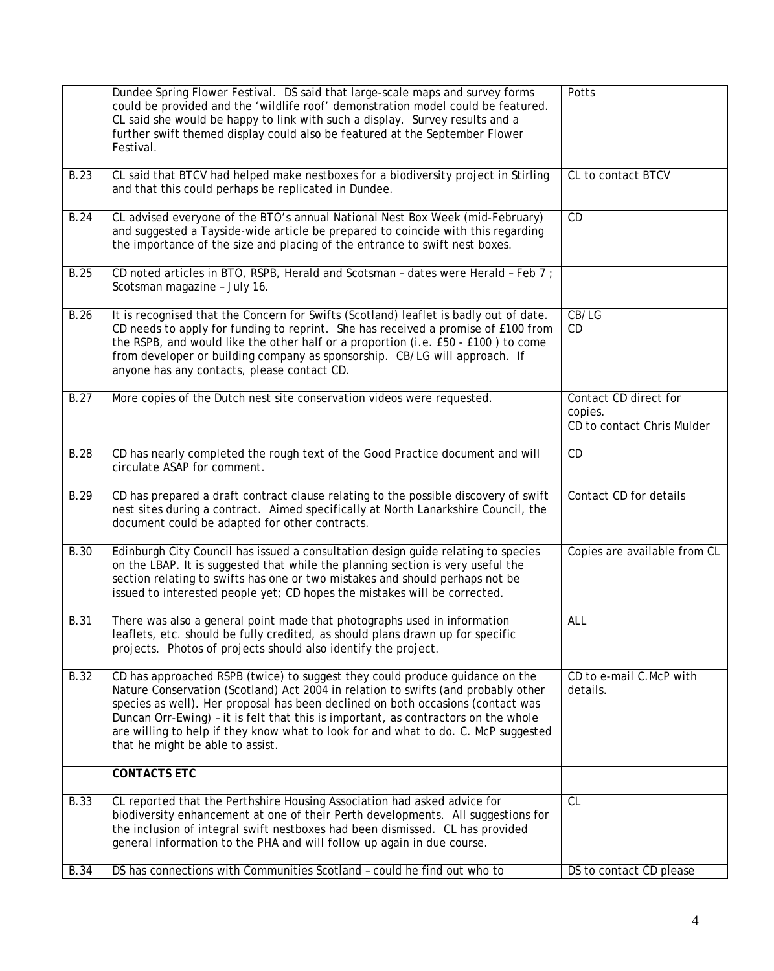|             | Dundee Spring Flower Festival. DS said that large-scale maps and survey forms<br>could be provided and the 'wildlife roof' demonstration model could be featured.<br>CL said she would be happy to link with such a display. Survey results and a<br>further swift themed display could also be featured at the September Flower<br>Festival.                                                                                                                        | Potts                                                          |
|-------------|----------------------------------------------------------------------------------------------------------------------------------------------------------------------------------------------------------------------------------------------------------------------------------------------------------------------------------------------------------------------------------------------------------------------------------------------------------------------|----------------------------------------------------------------|
| <b>B.23</b> | CL said that BTCV had helped make nestboxes for a biodiversity project in Stirling<br>and that this could perhaps be replicated in Dundee.                                                                                                                                                                                                                                                                                                                           | CL to contact BTCV                                             |
| B.24        | CL advised everyone of the BTO's annual National Nest Box Week (mid-February)<br>and suggested a Tayside-wide article be prepared to coincide with this regarding<br>the importance of the size and placing of the entrance to swift nest boxes.                                                                                                                                                                                                                     | CD                                                             |
| <b>B.25</b> | CD noted articles in BTO, RSPB, Herald and Scotsman - dates were Herald - Feb 7 ;<br>Scotsman magazine - July 16.                                                                                                                                                                                                                                                                                                                                                    |                                                                |
| B.26        | It is recognised that the Concern for Swifts (Scotland) leaflet is badly out of date.<br>CD needs to apply for funding to reprint. She has received a promise of £100 from<br>the RSPB, and would like the other half or a proportion (i.e. £50 - £100) to come<br>from developer or building company as sponsorship. CB/LG will approach. If<br>anyone has any contacts, please contact CD.                                                                         | CB/LG<br>CD                                                    |
| <b>B.27</b> | More copies of the Dutch nest site conservation videos were requested.                                                                                                                                                                                                                                                                                                                                                                                               | Contact CD direct for<br>copies.<br>CD to contact Chris Mulder |
| <b>B.28</b> | CD has nearly completed the rough text of the Good Practice document and will<br>circulate ASAP for comment.                                                                                                                                                                                                                                                                                                                                                         | CD                                                             |
| B.29        | CD has prepared a draft contract clause relating to the possible discovery of swift<br>nest sites during a contract. Aimed specifically at North Lanarkshire Council, the<br>document could be adapted for other contracts.                                                                                                                                                                                                                                          | Contact CD for details                                         |
| <b>B.30</b> | Edinburgh City Council has issued a consultation design guide relating to species<br>on the LBAP. It is suggested that while the planning section is very useful the<br>section relating to swifts has one or two mistakes and should perhaps not be<br>issued to interested people yet; CD hopes the mistakes will be corrected.                                                                                                                                    | Copies are available from CL                                   |
| <b>B.31</b> | There was also a general point made that photographs used in information<br>leaflets, etc. should be fully credited, as should plans drawn up for specific<br>projects. Photos of projects should also identify the project.                                                                                                                                                                                                                                         | ALL                                                            |
| <b>B.32</b> | CD has approached RSPB (twice) to suggest they could produce guidance on the<br>Nature Conservation (Scotland) Act 2004 in relation to swifts (and probably other<br>species as well). Her proposal has been declined on both occasions (contact was<br>Duncan Orr-Ewing) - it is felt that this is important, as contractors on the whole<br>are willing to help if they know what to look for and what to do. C. McP suggested<br>that he might be able to assist. | CD to e-mail C.McP with<br>details.                            |
|             | <b>CONTACTS ETC</b>                                                                                                                                                                                                                                                                                                                                                                                                                                                  |                                                                |
| <b>B.33</b> | CL reported that the Perthshire Housing Association had asked advice for<br>biodiversity enhancement at one of their Perth developments. All suggestions for<br>the inclusion of integral swift nestboxes had been dismissed. CL has provided<br>general information to the PHA and will follow up again in due course.                                                                                                                                              | CL                                                             |
| B.34        | DS has connections with Communities Scotland - could he find out who to                                                                                                                                                                                                                                                                                                                                                                                              | DS to contact CD please                                        |